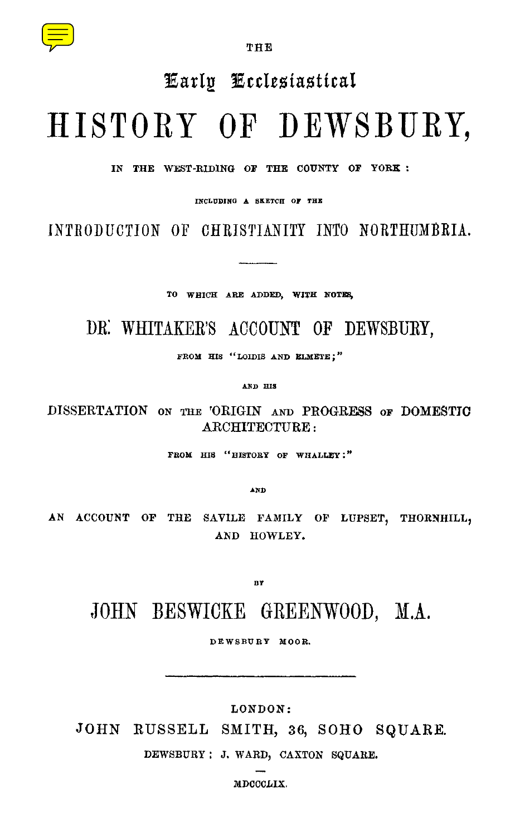

THE

## Early E ccIesiasticaI

# HISTORY OF DEWSBURY,

IN THE WEST-RIDING OF THE COUNTY OF YORK :

INCLUDING A SKETCH OF THE

INTRODUCTION OF CHRISTIANITY INTO NORTHUMBRIA.

TO WHICH ARE ADDED, WITH NOTES,

### DR: WHITAKER'S ACCOUNT OF DEWSBURY,

FROM HIS "LOIDIS AND ELMETE;"

AND HIS

DISSERTATION ON THE 'ORIGIN AND PROGRESS OF DOMESTIC ARCHITECTURE:

FROM HIS "HISTORY OF WHALLEY :"

AN D

AN ACCOUNT OF THE SAVILE FAMILY OF LUPSET, THORNHILL, AND HOWLEY.

**BY** 

## JOHN BESWICKE GREENWOOD, M.A.

**DEWSBURY MOOR.**

LONDON :

JOHN RUSSELL SMITH, 36, SOHO SQUARE.

**DEWSBURY : J. WARD, CAXTON SQUARE.**

**MDCCCLIX.**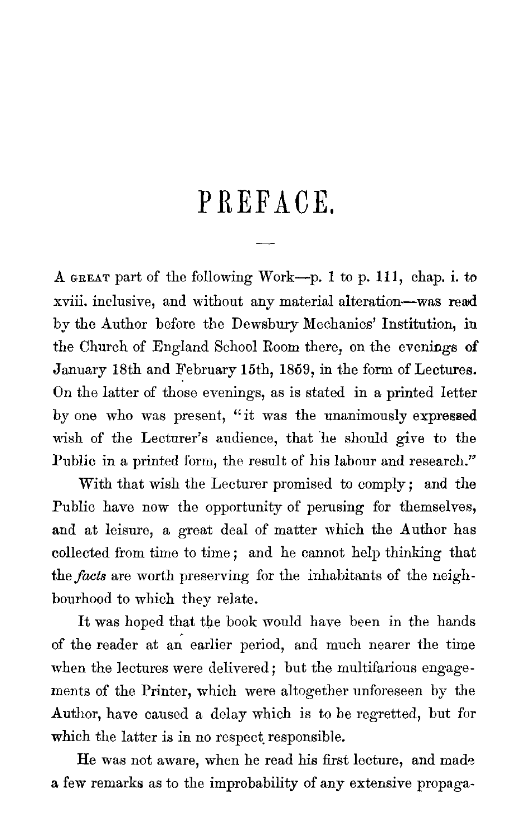## PREFACE,

**A GREAT** part of the following Work—p . 1 to p. 111, chap. i. to xviii. inclusive, and without any material alteration—was read by the Author before the Dewsbury Mechanics' Institution, in the Church of England School Room there, on the evenings of January 18th and February 15th, 1859, in the form of Lectures. On the latter of those evenings, as is stated in a printed letter by one who was present, "it was the unanimously expressed wish of the Lecturer's audience, that he should give to the Public in a printed form, the result of his labour and research."

With that wish the Lecturer promised to comply ; and the Public have now the opportunity of perusing for themselves, and at leisure, a great deal of matter which the Author has collected from time to time ; and he cannot help thinking that the*facts* are worth preserving for the inhabitants of the neighbourhood to which they relate.

It was hoped that the book would have been in the hands of the reader at an earlier period, and much nearer the time when the lectures were delivered ; but the multifarious engagements of the Printer, which were altogether unforeseen by the Author, have caused a delay which is to be regretted, but for which the latter is in no respect responsible.

He was not aware, when he read his first lecture, and made a few remarks as to the improbability of any extensive propaga-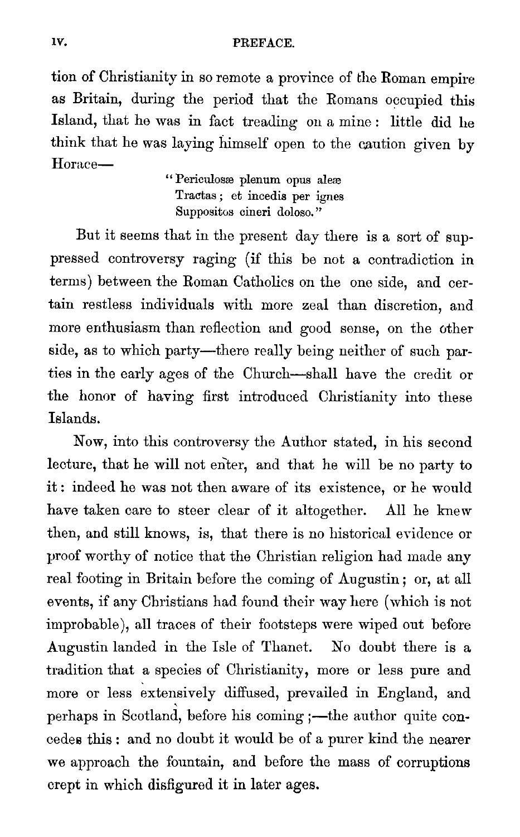### iv. PREFACE.

tion of Christianity in so remote a province of the Roman empire as Britain, during the period that the Romans occupied this Island, that he was in fact treading on a mine : little did he think that he was laying himself open to the caution given by Horace

" Periculosae plenum opus aleae Tractas ; et incedis per ignes Suppositos cineri doloso."

But it seems that in the present day there is a sort of suppressed controversy raging (if this be not a contradiction in terms) between the Roman Catholics on the one side, and certain restless individuals with more zeal than discretion, and more enthusiasm than reflection and good sense, on the other side, as to which party—there really being neither of such parties in the early ages of the Church—shall have the credit or the honor of having first introduced Christianity into these Islands.

Now, into this controversy the Author stated, in his second lecture, that he will not enter, and that he will be no party to it : indeed he was not then aware of its existence, or he would have taken care to steer clear of it altogether. All he knew then, and still knows, is, that there is no historical evidence or proof worthy of notice that the Christian religion had made any real footing in Britain before the coming of Augustin ; or, at all events, if any Christians had found their way here (which is not improbable), all traces of their footsteps were wiped out before Augustin landed in the Isle of Thanet. No doubt there is a tradition that a species of Christianity, more or less pure and more or less extensively diffused, prevailed in England, and perhaps in Scotland, before his coming ;—the author quite concedes this : and no doubt it would be of a purer kind the nearer we approach the fountain, and before the mass of corruptions crept in which disfigured it in later ages.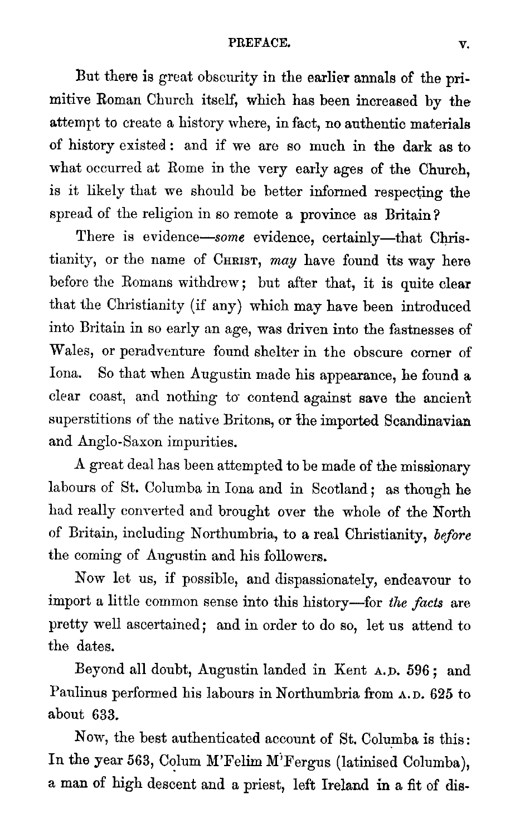### **PREFACE . v.**

But there is great obscurity in the earlier annals of the primitive Roman Church itself, which has been increased by the attempt to create a history where, in *fact,* no authentic materials of history existed : and if we are so much in the dark as to what occurred at Rome in the very early ages of the **Church,** is it likely that we should be better informed respecting the spread of the religion in so remote a province as Britain?

There is evidence—some evidence, certainly—that Christianity, or the name of CHRIST, *may* have found its way here before the Romans withdrew ; but after that, it is quite clear that the Christianity (if any) which may have been introduced into Britain in so early an age, was driven into the fastnesses of Wales, or peradventure found shelter in the obscure corner of Iona. So that when Augustin made his appearance, he founda clear coast, and nothing to- contend against save the ancient superstitions of the native Britons, or the imported Scandinavian and Anglo-Saxon impurities.

A great deal has been attempted to be made of the missionary labours of St. Columba in Iona and in Scotland; as though he had really converted and brought over the whole of the North of Britain, including Northumbria, to a real Christianity, *before* the coming of Augustin and his followers.

Now let us, if possible, and dispassionately, endeavour to import a little common sense into this history—for *the facts* are pretty well ascertained; and in order to do so, let us attend to the dates.

Beyond all doubt, Augustin landed in Kent <sup>A</sup> .D. 596 ; and Paulinus performed his labours in Northumbria from <sup>A</sup> .D. **625** to about 633.

Now, the best authenticated account of St. Columba is this: In the year 563, Colum M'Felim M'Fergus (latinised Columba), a man of high descent and a priest, left Ireland in a fit of dis-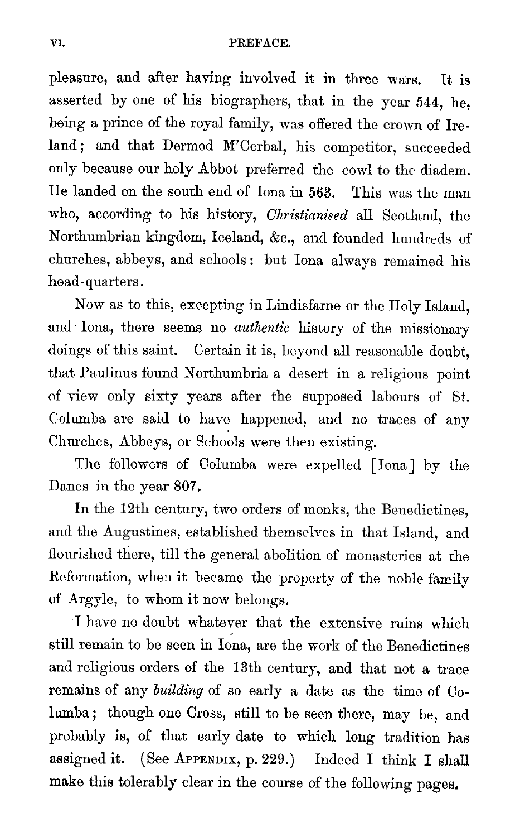pleasure, and after having involved it in three wars. It is asserted by one of his biographers, that in the year 544, he, being a prince of the royal family, was offered the crown of Ireland ; and that Dermod M'Cerbal, his competitor, succeeded only because our holy Abbot preferred the cowl to the diadem. He landed on the south end of Iona in 563 . This was the man who, according to his history, *Christianised* all Scotland, the Northumbrian kingdom, Iceland, &c ., and founded hundreds of churches, abbeys, and schools : but Iona always remained his head-quarters.

Now as to this, excepting in Lindisfarne or the Holy Island, and Iona, there seems no *authentic* history of the missionary doings of this saint. Certain it is, beyond all reasonable doubt, that Paulinus found Northumbria a desert in a religious point of view only sixty years after the supposed labours of St. Columba are said to have happened, and no traces of any Churches, Abbeys, or Schools were then existing.

The followers of Columba were expelled [Iona] by the Danes in the year 807.

In the 12th century, two orders of monks, the Benedictines, and the Augustines, established themselves in that Island, and flourished there, till the general abolition of monasteries at the Reformation, when it became the property of the noble family of Argyle, to whom it now belongs.

'I have no doubt whatever that the extensive ruins which still remain to be seen in Iona, are the work of the Benedictines and religious orders of the 13th century, and that not a trace remains of any *building* of so early a date as the time of Columba ; though one Cross, still to be seen there, may be, and probably is, of that early date to which long tradition has assigned it. **(See APPENDIX, <sup>p</sup> . 229 .)** Indeed I think I shall make this tolerably clear in the course of the following pages.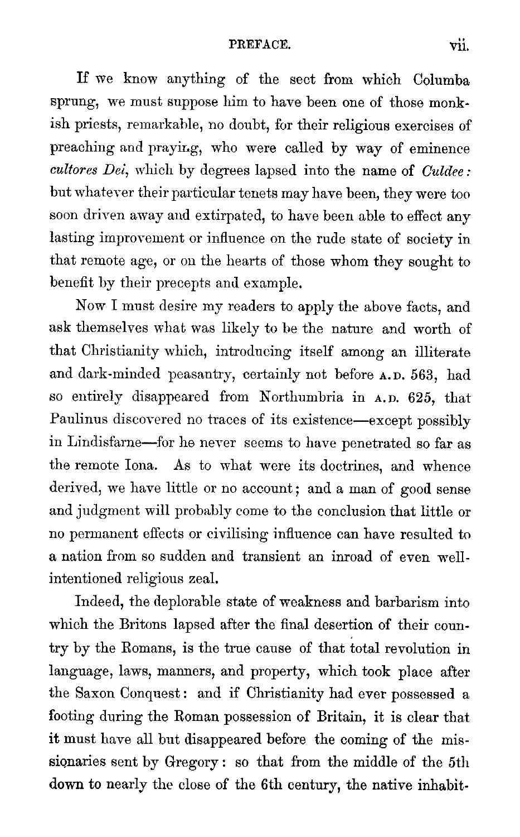### PREFACE. vii.

If we know anything of the sect from which Columba sprung, we must suppose him to have been one of those monkish priests, remarkable, no doubt, for their religious exercises of preaching and praying, who were called by way of eminence *cultores Dei,* which by degrees lapsed into the name of *Culdee :* but whatever their particular tenets may have been, they were too soon driven away and extirpated, to have been able to effect any lasting improvement or influence on the rude state of society in that remote age, or on the hearts of those whom they sought to benefit by their precepts and example.

Now I must desire my readers to apply the above facts, and ask themselves what was likely to be the nature and worth of that Christianity which, introducing itself among an illiterate and dark-minded peasantry, certainly not before <sup>A</sup> .D. **563, had** so entirely disappeared from Northumbria in <sup>A</sup> .D. **625, that** Paulinus discovered no traces of its existence—except possibly in Lindisfarne—for he never seems to have penetrated so far as the remote Iona. As to what were its doctrines, and whence derived, we have little or no account; and a man of good sense and judgment will probably come to the conclusion that little or no permanent effects or civilising influence can have resulted to a nation from so sudden and transient an inroad of even wellintentioned religious zeal.

Indeed, the deplorable state of weakness and barbarism into which the Britons lapsed after the final desertion of their country by the Romans, is the true cause of that total revolution in language, laws, manners, and property, which took place after the Saxon Conquest: and if Christianity had ever possessed a footing during the Roman possession of Britain, it is clear that it must have all but disappeared before the coming of the missionaries sent by Gregory : so that from the middle of the 5th down to nearly the close of the 6th century, the native inhabit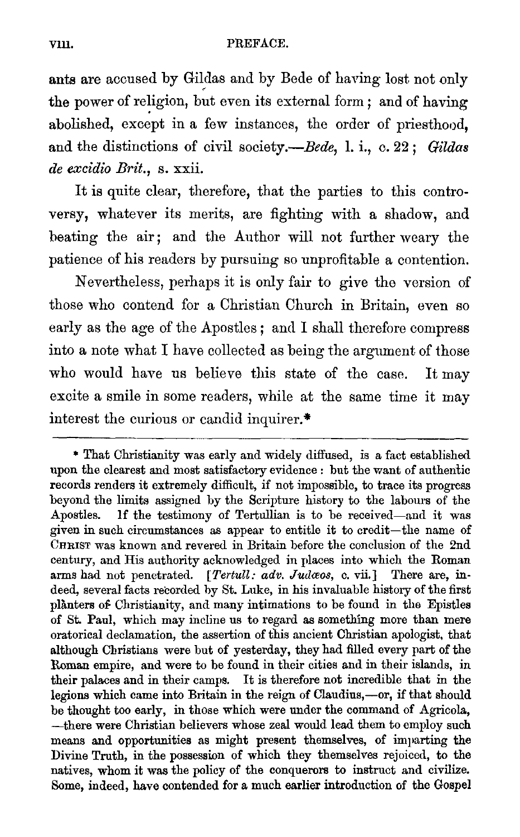ants are accused by Gildas and by Bede of having lost not only the power of religion, but even its external form ; and of having abolished, except in a few instances, the order of priesthood, and the distinctions of civil society.—Bede, 1. i., c. 22; Gildas *de excidio Brit., s. xxii.*

It is quite clear, therefore, that the parties to this controversy, whatever its merits, are fighting with a shadow, and beating the air; and the Author will not further weary the patience of his readers by pursuing so unprofitable a contention.

Nevertheless, perhaps it is only fair to give the version of those who contend for a Christian Church in Britain, even so early as the age of the Apostles; and I shall therefore compress into a note what I have collected as being the argument of those who would have us believe this state of the case. It may excite a smile in some readers, while at the same time it may interest the curious or candid inquirer.\*

<sup>\*</sup> That Christianity was early and widely diffused, is a fact established upon the clearest and most satisfactory evidence : but the want of authentic records renders it extremely difficult, if not impossible, to trace its progress beyond the limits assigned by the Scripture history to the labours of the Apostles. If the testimony of Tertullian is to be received—and it was given in such circumstances as appear to entitle it to credit—the name of CHRIST was known and revered in Britain before the conclusion of the 2nd century, and His authority acknowledged in places into which the Roman arms had not penetrated. [Tertull: adv. Judaos, c. vii.] There are, in*deed, several facts recorded by St. Luke, in his invaluable history of the first planters of Christianity, and many intimations to be found in the Epistles of St. Paul, which may incline us to regard as something more than mere oratorical declamation, the assertion of this ancient Christian apologist, that although Christians were but of yesterday, they had filled every part of the Roman empire, and were to be found in their cities and in their islands, in their palaces and in their camps. It is therefore not incredible that in the legions which came into Britain in the reign of Claudius,—or, if that should be thought too early, in those which were under the command of Agricola, —there were Christian believers whose zeal would lead them to employ such means and opportunities as might present themselves, of imparting the Divine Truth, in the possession of which they themselves rejoiced, to the natives, whom it was the policy of the conquerors to instruct and civilize. Some, indeed, have contended for a much earlier introduction of the Gospel*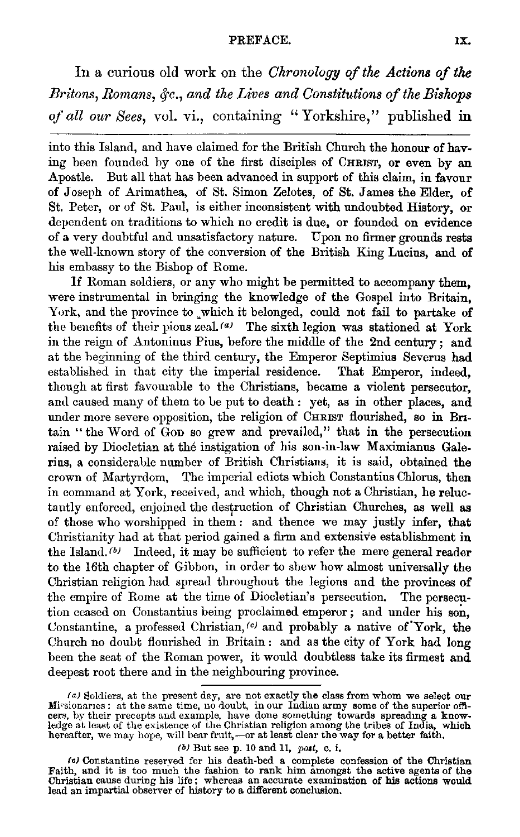#### PREFACE. 1X.

In a curious old work on the *Chronology of the Actions of the Britons, Romans, &c., and the Lives and Constitutions of the Bishops of all our Sees,* vol. *vi., containing " Yorkshire," published in*

into this Island, and have claimed for the British Church the honour of having been founded by one of the first disciples of CHRIST, or even by an Apostle. But all that has been advanced in support of this claim, in favour of Joseph of Arimathea, of St . Simon Zelotes, of St. James the Elder, of St. Peter, or of St. Paul, is either inconsistent with undoubted History, or dependent on traditions to which no credit is due, or founded on evidence of a very doubtful and unsatisfactory nature. Upon no firmer grounds rests the well-known story of the conversion of the British King Lucius, and of his embassy to the Bishop of Rome.

If Roman soldiers, or any who might be permitted to accompany them, were instrumental in bringing the knowledge of the Gospel into Britain, York, and the province to ,which it belonged, could not fail to partake of the benefits of their pious zeal.  $\frac{a}{b}$  The sixth legion was stationed at York in the reign of Antoninus Pius, before the middle of the 2nd century ; and at the beginning of the third century, the Emperor Septimius Severus had established in that city the imperial residence. That Emperor, indeed, though at first favourable to the Christians, became a violent persecutor, and caused many of them to be put to death : yet, as in other places, and under more severe opposition, the religion of CHRIST flourished, so in Britain " the Word of Goo so grew and prevailed," that in the persecution raised by Diocletian at the instigation of his son-in-law Maximianus Galerius, a considerable number of British Christians, it is said, obtained the crown of Martyrdom, The imperial edicts which Constantius Chlorus, then in command at York, received, and which, though not a Christian, he reluctantly enforced, enjoined the destruction of Christian Churches, as well as of those who worshipped in them : and thence we may justly infer, that Christianity had at that period gained a firm and extensive establishment in the Island.  $\mathbf{b}$  Indeed, it may be sufficient to refer the mere general reader to the 16th chapter of Gibbon, in order to shew how almost universally the Christian religion had spread throughout the legions and the provinces of the empire of Rome at the time of Diocletian's persecution. The persecution ceased on Constantius being proclaimed emperor ; and under his son, Constantine, a professed Christian,  $(c)$  and probably a native of York, the Church no doubt flourished in Britain : and as the city of York had long been the seat of the Roman power, it would doubtless take its firmest and deepest root there and in the neighbouring province.

*(b)* But see p. 10 and 11, post, c. i.

<sup>(</sup>a) Soldiers, at the present day, are not exactly the class from whom we select our Missionares: at the same time, no doubt, in our Indian army some of the superior officers, by their precepts and example, have done somet

<sup>(</sup>c) Constantine reserved for his death-bed a complete confession of the Christian (Faith, and it is too much the fashion to rank him amongst the active agents of the<br>Christian cause during his life; whereas an accurate exa lead an impartial observer of history to a different conclusion.